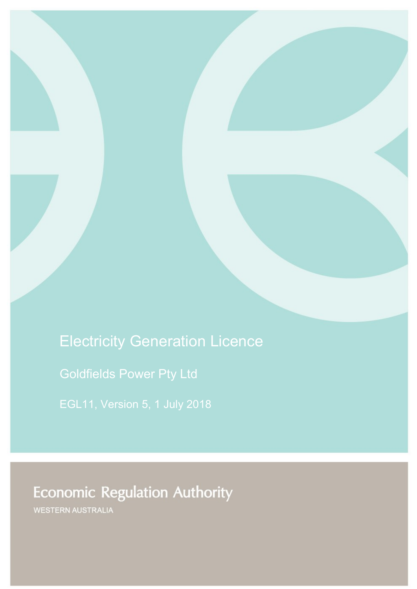# Electricity Generation Licence

Goldfields Power Pty Ltd

# **Economic Regulation Authority**

WESTERN AUSTRALIA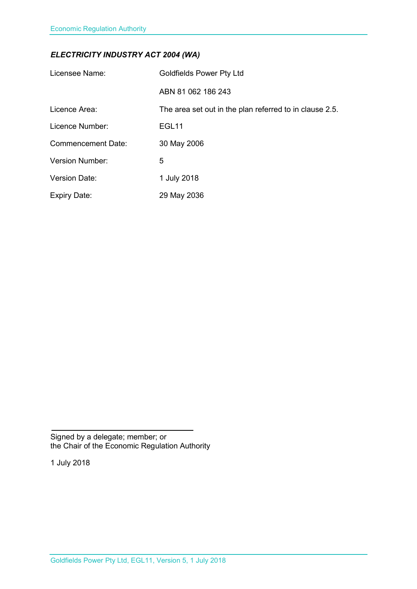### *ELECTRICITY INDUSTRY ACT 2004 (WA)*

| Licensee Name:            | <b>Goldfields Power Pty Ltd</b>                         |
|---------------------------|---------------------------------------------------------|
|                           | ABN 81 062 186 243                                      |
| Licence Area:             | The area set out in the plan referred to in clause 2.5. |
| Licence Number:           | EGL <sub>11</sub>                                       |
| <b>Commencement Date:</b> | 30 May 2006                                             |
| <b>Version Number:</b>    | 5                                                       |
| <b>Version Date:</b>      | 1 July 2018                                             |
| <b>Expiry Date:</b>       | 29 May 2036                                             |

Signed by a delegate; member; or the Chair of the Economic Regulation Authority

1 July 2018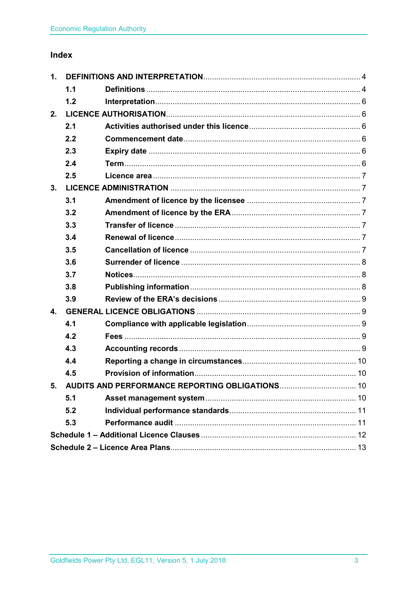### Index

| 1. |     |  |  |
|----|-----|--|--|
|    | 1.1 |  |  |
|    | 1.2 |  |  |
| 2. |     |  |  |
|    | 2.1 |  |  |
|    | 2.2 |  |  |
|    | 2.3 |  |  |
|    | 2.4 |  |  |
|    | 2.5 |  |  |
| 3. |     |  |  |
|    | 3.1 |  |  |
|    | 3.2 |  |  |
|    | 3.3 |  |  |
|    | 3.4 |  |  |
|    | 3.5 |  |  |
|    | 3.6 |  |  |
|    | 3.7 |  |  |
|    | 3.8 |  |  |
|    | 3.9 |  |  |
| 4. |     |  |  |
|    | 4.1 |  |  |
|    | 4.2 |  |  |
|    | 4.3 |  |  |
|    | 4.4 |  |  |
|    | 4.5 |  |  |
| 5. |     |  |  |
|    | 5.1 |  |  |
|    | 5.2 |  |  |
|    | 5.3 |  |  |
|    |     |  |  |
|    |     |  |  |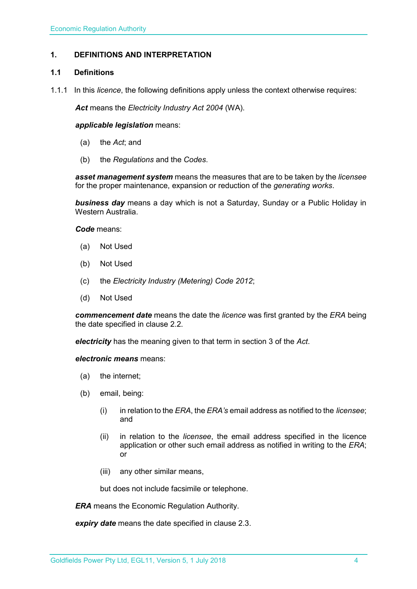#### <span id="page-3-0"></span>**1. DEFINITIONS AND INTERPRETATION**

#### <span id="page-3-1"></span>**1.1 Definitions**

1.1.1 In this *licence*, the following definitions apply unless the context otherwise requires:

*Act* means the *Electricity Industry Act 2004* (WA).

#### *applicable legislation* means:

- (a) the *Act*; and
- (b) the *Regulations* and the *Codes*.

*asset management system* means the measures that are to be taken by the *licensee* for the proper maintenance, expansion or reduction of the *generating works*.

*business day* means a day which is not a Saturday, Sunday or a Public Holiday in Western Australia.

*Code* means:

- (a) Not Used
- (b) Not Used
- (c) the *Electricity Industry (Metering) Code 2012*;
- (d) Not Used

*commencement date* means the date the *licence* was first granted by the *ERA* being the date specified in clause 2.2.

*electricity* has the meaning given to that term in section 3 of the *Act*.

*electronic means* means:

- (a) the internet;
- (b) email, being:
	- (i) in relation to the *ERA*, the *ERA's* email address as notified to the *licensee*; and
	- (ii) in relation to the *licensee*, the email address specified in the licence application or other such email address as notified in writing to the *ERA*; or
	- (iii) any other similar means,

but does not include facsimile or telephone.

*ERA* means the Economic Regulation Authority.

*expiry date* means the date specified in clause 2.3.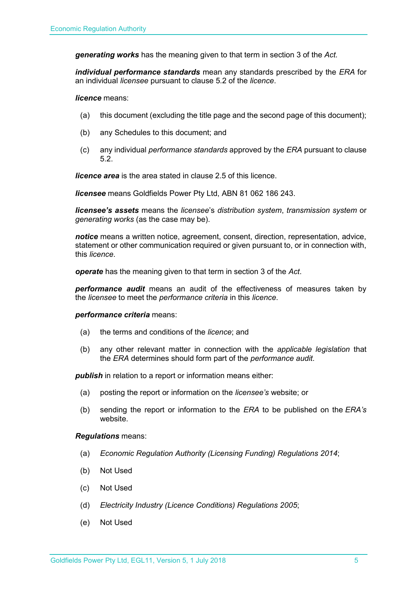*generating works* has the meaning given to that term in section 3 of the *Act.*

*individual performance standards* mean any standards prescribed by the *ERA* for an individual *licensee* pursuant to clause 5.2 of the *licence*.

*licence* means:

- (a) this document (excluding the title page and the second page of this document);
- (b) any Schedules to this document; and
- (c) any individual *performance standards* approved by the *ERA* pursuant to clause 5.2.

*licence area* is the area stated in clause 2.5 of this licence.

*licensee* means Goldfields Power Pty Ltd, ABN 81 062 186 243.

*licensee's assets* means the *licensee*'s *distribution system*, *transmission system* or *generating works* (as the case may be).

*notice* means a written notice, agreement, consent, direction, representation, advice, statement or other communication required or given pursuant to, or in connection with, this *licence*.

*operate* has the meaning given to that term in section 3 of the *Act*.

*performance audit* means an audit of the effectiveness of measures taken by the *licensee* to meet the *performance criteria* in this *licence*.

#### *performance criteria* means:

- (a) the terms and conditions of the *licence*; and
- (b) any other relevant matter in connection with the *applicable legislation* that the *ERA* determines should form part of the *performance audit*.

**publish** in relation to a report or information means either:

- (a) posting the report or information on the *licensee's* website; or
- (b) sending the report or information to the *ERA* to be published on the *ERA's* website.

#### *Regulations* means:

- (a) *Economic Regulation Authority (Licensing Funding) Regulations 2014*;
- (b) Not Used
- (c) Not Used
- (d) *Electricity Industry (Licence Conditions) Regulations 2005*;
- (e) Not Used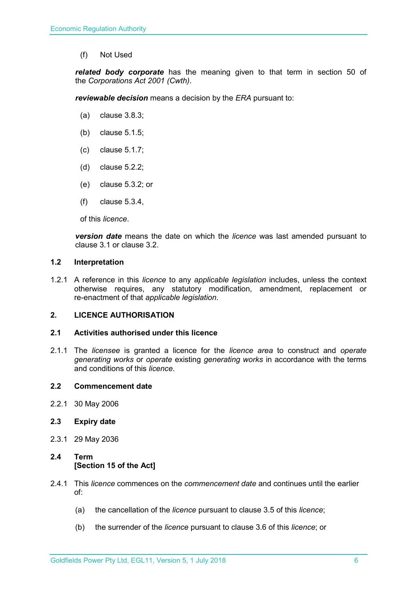(f) Not Used

*related body corporate* has the meaning given to that term in section 50 of the *Corporations Act 2001 (Cwth)*.

*reviewable decision* means a decision by the *ERA* pursuant to:

- (a) clause 3.8.3;
- (b) clause 5.1.5;
- (c) clause 5.1.7;
- (d) clause 5.2.2;
- (e) clause 5.3.2; or
- (f) clause 5.3.4,

of this *licence*.

*version date* means the date on which the *licence* was last amended pursuant to clause 3.1 or clause 3.2.

#### <span id="page-5-0"></span>**1.2 Interpretation**

1.2.1 A reference in this *licence* to any *applicable legislation* includes, unless the context otherwise requires, any statutory modification, amendment, replacement or re-enactment of that *applicable legislation*.

#### <span id="page-5-1"></span>**2. LICENCE AUTHORISATION**

#### <span id="page-5-2"></span>**2.1 Activities authorised under this licence**

2.1.1 The *licensee* is granted a licence for the *licence area* to construct and *operate generating works* or *operate* existing *generating works* in accordance with the terms and conditions of this *licence*.

#### <span id="page-5-3"></span>**2.2 Commencement date**

- 2.2.1 30 May 2006
- <span id="page-5-4"></span>**2.3 Expiry date**
- 2.3.1 29 May 2036

#### <span id="page-5-5"></span>**2.4 Term [Section 15 of the Act]**

- 2.4.1 This *licence* commences on the *commencement date* and continues until the earlier of:
	- (a) the cancellation of the *licence* pursuant to clause 3.5 of this *licence*;
	- (b) the surrender of the *licence* pursuant to clause 3.6 of this *licence*; or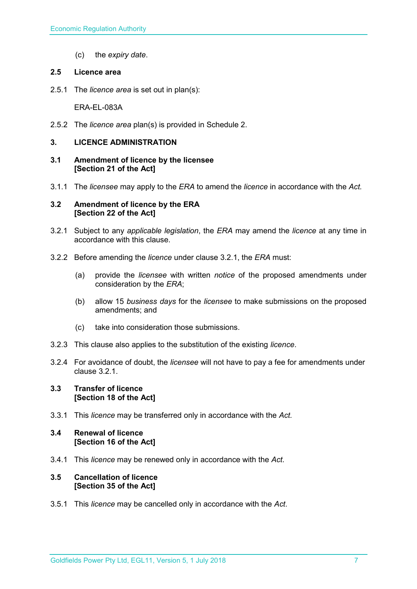(c) the *expiry date*.

#### <span id="page-6-0"></span>**2.5 Licence area**

2.5.1 The *licence area* is set out in plan(s):

ERA-EL-083A

2.5.2 The *licence area* plan(s) is provided in Schedule 2.

#### <span id="page-6-1"></span>**3. LICENCE ADMINISTRATION**

- <span id="page-6-2"></span>**3.1 Amendment of licence by the licensee [Section 21 of the Act]**
- 3.1.1 The *licensee* may apply to the *ERA* to amend the *licence* in accordance with the *Act.*

#### <span id="page-6-3"></span>**3.2 Amendment of licence by the ERA [Section 22 of the Act]**

- 3.2.1 Subject to any *applicable legislation*, the *ERA* may amend the *licence* at any time in accordance with this clause.
- 3.2.2 Before amending the *licence* under clause 3.2.1, the *ERA* must:
	- (a) provide the *licensee* with written *notice* of the proposed amendments under consideration by the *ERA*;
	- (b) allow 15 *business days* for the *licensee* to make submissions on the proposed amendments; and
	- (c) take into consideration those submissions.
- 3.2.3 This clause also applies to the substitution of the existing *licence*.
- 3.2.4 For avoidance of doubt, the *licensee* will not have to pay a fee for amendments under clause 3.2.1.

#### <span id="page-6-4"></span>**3.3 Transfer of licence [Section 18 of the Act]**

3.3.1 This *licence* may be transferred only in accordance with the *Act.*

#### <span id="page-6-5"></span>**3.4 Renewal of licence [Section 16 of the Act]**

3.4.1 This *licence* may be renewed only in accordance with the *Act*.

#### <span id="page-6-6"></span>**3.5 Cancellation of licence [Section 35 of the Act]**

3.5.1 This *licence* may be cancelled only in accordance with the *Act*.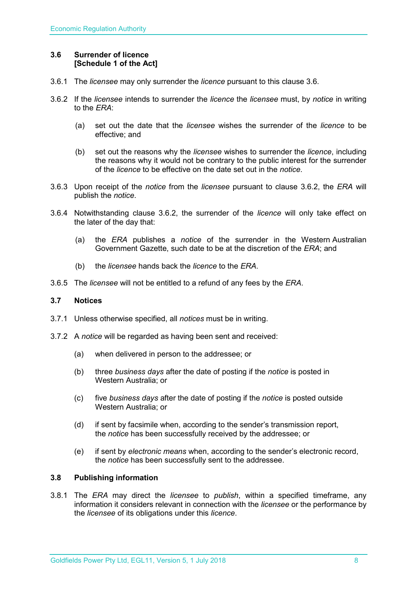#### <span id="page-7-0"></span>**3.6 Surrender of licence [Schedule 1 of the Act]**

- 3.6.1 The *licensee* may only surrender the *licence* pursuant to this clause 3.6.
- 3.6.2 If the *licensee* intends to surrender the *licence* the *licensee* must, by *notice* in writing to the *ERA*:
	- (a) set out the date that the *licensee* wishes the surrender of the *licence* to be effective; and
	- (b) set out the reasons why the *licensee* wishes to surrender the *licence*, including the reasons why it would not be contrary to the public interest for the surrender of the *licence* to be effective on the date set out in the *notice*.
- 3.6.3 Upon receipt of the *notice* from the *licensee* pursuant to clause 3.6.2, the *ERA* will publish the *notice*.
- 3.6.4 Notwithstanding clause 3.6.2, the surrender of the *licence* will only take effect on the later of the day that:
	- (a) the *ERA* publishes a *notice* of the surrender in the Western Australian Government Gazette, such date to be at the discretion of the *ERA*; and
	- (b) the *licensee* hands back the *licence* to the *ERA*.
- 3.6.5 The *licensee* will not be entitled to a refund of any fees by the *ERA*.

#### <span id="page-7-1"></span>**3.7 Notices**

- 3.7.1 Unless otherwise specified, all *notices* must be in writing.
- 3.7.2 A *notice* will be regarded as having been sent and received:
	- (a) when delivered in person to the addressee; or
	- (b) three *business days* after the date of posting if the *notice* is posted in Western Australia; or
	- (c) five *business days* after the date of posting if the *notice* is posted outside Western Australia; or
	- (d) if sent by facsimile when, according to the sender's transmission report, the *notice* has been successfully received by the addressee; or
	- (e) if sent by *electronic means* when, according to the sender's electronic record, the *notice* has been successfully sent to the addressee.

#### <span id="page-7-2"></span>**3.8 Publishing information**

3.8.1 The *ERA* may direct the *licensee* to *publish*, within a specified timeframe, any information it considers relevant in connection with the *licensee* or the performance by the *licensee* of its obligations under this *licence*.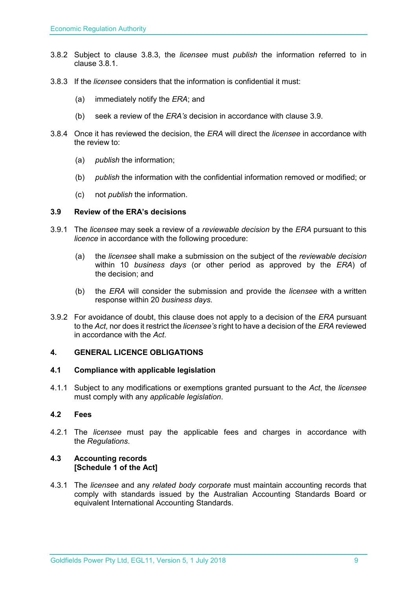- 3.8.2 Subject to clause 3.8.3, the *licensee* must *publish* the information referred to in clause 3.8.1.
- 3.8.3 If the *licensee* considers that the information is confidential it must:
	- (a) immediately notify the *ERA*; and
	- (b) seek a review of the *ERA's* decision in accordance with clause 3.9.
- 3.8.4 Once it has reviewed the decision, the *ERA* will direct the *licensee* in accordance with the review to:
	- (a) *publish* the information;
	- (b) *publish* the information with the confidential information removed or modified; or
	- (c) not *publish* the information.

#### <span id="page-8-0"></span>**3.9 Review of the ERA's decisions**

- 3.9.1 The *licensee* may seek a review of a *reviewable decision* by the *ERA* pursuant to this *licence* in accordance with the following procedure:
	- (a) the *licensee* shall make a submission on the subject of the *reviewable decision* within 10 *business days* (or other period as approved by the *ERA*) of the decision; and
	- (b) the *ERA* will consider the submission and provide the *licensee* with a written response within 20 *business days*.
- 3.9.2 For avoidance of doubt, this clause does not apply to a decision of the *ERA* pursuant to the *Act*, nor does it restrict the *licensee's* right to have a decision of the *ERA* reviewed in accordance with the *Act*.

#### <span id="page-8-1"></span>**4. GENERAL LICENCE OBLIGATIONS**

#### <span id="page-8-2"></span>**4.1 Compliance with applicable legislation**

4.1.1 Subject to any modifications or exemptions granted pursuant to the *Act*, the *licensee* must comply with any *applicable legislation*.

#### <span id="page-8-3"></span>**4.2 Fees**

4.2.1 The *licensee* must pay the applicable fees and charges in accordance with the *Regulations*.

#### <span id="page-8-4"></span>**4.3 Accounting records [Schedule 1 of the Act]**

4.3.1 The *licensee* and any *related body corporate* must maintain accounting records that comply with standards issued by the Australian Accounting Standards Board or equivalent International Accounting Standards.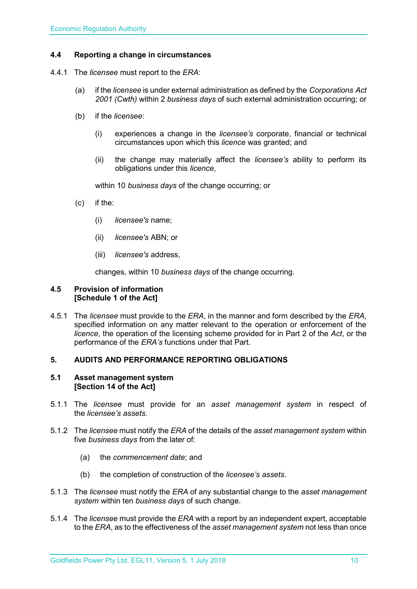#### <span id="page-9-0"></span>**4.4 Reporting a change in circumstances**

- 4.4.1 The *licensee* must report to the *ERA*:
	- (a) if the *licensee* is under external administration as defined by the *Corporations Act 2001 (Cwth)* within 2 *business days* of such external administration occurring; or
	- (b) if the *licensee*:
		- (i) experiences a change in the *licensee's* corporate, financial or technical circumstances upon which this *licence* was granted; and
		- (ii) the change may materially affect the *licensee's* ability to perform its obligations under this *licence*,

within 10 *business days* of the change occurring; or

- (c) if the:
	- (i) *licensee's* name;
	- (ii) *licensee's* ABN; or
	- (iii) *licensee's* address,

changes, within 10 *business days* of the change occurring.

#### <span id="page-9-1"></span>**4.5 Provision of information [Schedule 1 of the Act]**

4.5.1 The *licensee* must provide to the *ERA*, in the manner and form described by the *ERA*, specified information on any matter relevant to the operation or enforcement of the *licence*, the operation of the licensing scheme provided for in Part 2 of the *Act*, or the performance of the *ERA's* functions under that Part.

#### <span id="page-9-2"></span>**5. AUDITS AND PERFORMANCE REPORTING OBLIGATIONS**

#### <span id="page-9-3"></span>**5.1 Asset management system [Section 14 of the Act]**

- 5.1.1 The *licensee* must provide for an *asset management system* in respect of the *licensee's assets*.
- 5.1.2 The *licensee* must notify the *ERA* of the details of the *asset management system* within five *business days* from the later of:
	- (a) the *commencement date*; and
	- (b) the completion of construction of the *licensee's assets*.
- 5.1.3 The *licensee* must notify the *ERA* of any substantial change to the *asset management system* within ten *business days* of such change.
- 5.1.4 The *licensee* must provide the *ERA* with a report by an independent expert, acceptable to the *ERA*, as to the effectiveness of the *asset management system* not less than once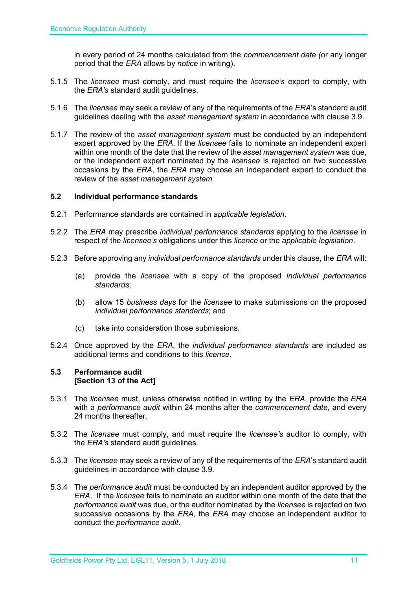in every period of 24 months calculated from the *commencement date (*or any longer period that the *ERA* allows by *notice* in writing).

- 5.1.5 The *licensee* must comply, and must require the *licensee's* expert to comply, with the *ERA's* standard audit guidelines.
- 5.1.6 The *licensee* may seek a review of any of the requirements of the *ERA*'s standard audit guidelines dealing with the *asset management system* in accordance with clause 3.9.
- 5.1.7 The review of the *asset management system* must be conducted by an independent expert approved by the *ERA*. If the *licensee* fails to nominate an independent expert within one month of the date that the review of the *asset management system* was due, or the independent expert nominated by the *licensee* is rejected on two successive occasions by the *ERA*, the *ERA* may choose an independent expert to conduct the review of the *asset management system*.

#### <span id="page-10-0"></span>**5.2 Individual performance standards**

- 5.2.1 Performance standards are contained in *applicable legislation*.
- 5.2.2 The *ERA* may prescribe *individual performance standards* applying to the *licensee* in respect of the *licensee's* obligations under this *licence* or the *applicable legislation*.
- 5.2.3 Before approving any *individual performance standards* under this clause, the *ERA* will:
	- (a) provide the *licensee* with a copy of the proposed *individual performance standards*;
	- (b) allow 15 *business days* for the *licensee* to make submissions on the proposed *individual performance standards*; and
	- (c) take into consideration those submissions.
- 5.2.4 Once approved by the *ERA*, the *individual performance standards* are included as additional terms and conditions to this *licence*.

#### <span id="page-10-1"></span>**5.3 Performance audit [Section 13 of the Act]**

- 5.3.1 The *licensee* must, unless otherwise notified in writing by the *ERA*, provide the *ERA* with a *performance audit* within 24 months after the *commencement date*, and every 24 months thereafter.
- 5.3.2 The *licensee* must comply, and must require the *licensee's* auditor to comply, with the *ERA's* standard audit guidelines.
- 5.3.3 The *licensee* may seek a review of any of the requirements of the *ERA*'s standard audit guidelines in accordance with clause 3.9.
- 5.3.4 The *performance audit* must be conducted by an independent auditor approved by the *ERA*. If the *licensee* fails to nominate an auditor within one month of the date that the *performance audit* was due, or the auditor nominated by the *licensee* is rejected on two successive occasions by the *ERA*, the *ERA* may choose an independent auditor to conduct the *performance audit*.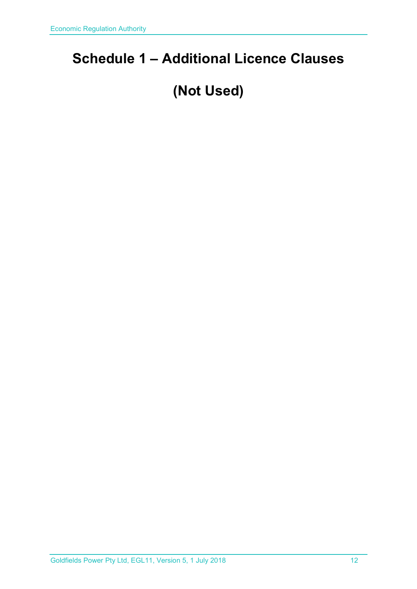### <span id="page-11-0"></span>**Schedule 1 – Additional Licence Clauses**

## **(Not Used)**

Goldfields Power Pty Ltd, EGL11, Version 5, 1 July 2018 12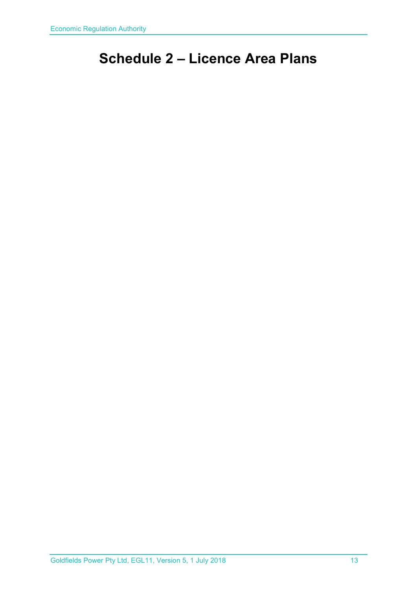### <span id="page-12-0"></span>**Schedule 2 – Licence Area Plans**